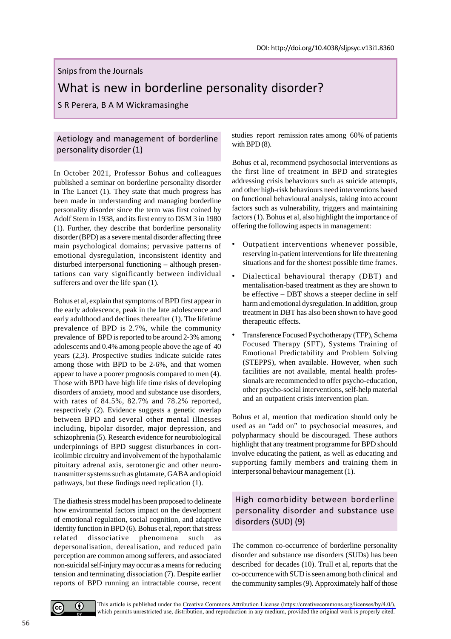#### Snips from the Journals

# What is new in borderline personality disorder?

S R Perera, B A M Wickramasinghe

## Aetiology and management of borderline personality disorder (1)

In October 2021, Professor Bohus and colleagues published a seminar on borderline personality disorder in The Lancet (1). They state that much progress has been made in understanding and managing borderline personality disorder since the term was first coined by Adolf Stern in 1938, and its first entry to DSM 3 in 1980 (1). Further, they describe that borderline personality disorder (BPD) as a severe mental disorder affecting three main psychological domains; pervasive patterns of emotional dysregulation, inconsistent identity and disturbed interpersonal functioning – although presentations can vary significantly between individual sufferers and over the life span  $(1)$ .

Bohus et al, explain that symptoms of BPD first appear in the early adolescence, peak in the late adolescence and early adulthood and declines thereafter (1). The lifetime prevalence of BPD is 2.7%, while the community prevalence of BPD is reported to be around 2-3% among adolescents and 0.4% among people above the age of 40 years (2,3). Prospective studies indicate suicide rates among those with BPD to be 2-6%, and that women appear to have a poorer prognosis compared to men (4). Those with BPD have high life time risks of developing disorders of anxiety, mood and substance use disorders, with rates of 84.5%, 82.7% and 78.2% reported, respectively (2). Evidence suggests a genetic overlap between BPD and several other mental illnesses including, bipolar disorder, major depression, and schizophrenia (5). Research evidence for neurobiological underpinnings of BPD suggest disturbances in corticolimbic circuitry and involvement of the hypothalamic pituitary adrenal axis, serotonergic and other neurotransmitter systems such as glutamate, GABA and opioid pathways, but these findings need replication (1).

The diathesis stress model has been proposed to delineate how environmental factors impact on the development of emotional regulation, social cognition, and adaptive identity function in BPD (6). Bohus et al, report that stress related dissociative phenomena such as depersonalisation, derealisation, and reduced pain perception are common among sufferers, and associated non-suicidal self-injury may occur as a means for reducing tension and terminating dissociation (7). Despite earlier reports of BPD running an intractable course, recent studies report remission rates among 60% of patients with BPD  $(8)$ .

Bohus et al, recommend psychosocial interventions as the first line of treatment in BPD and strategies addressing crisis behaviours such as suicide attempts, and other high-risk behaviours need interventions based on functional behavioural analysis, taking into account factors such as vulnerability, triggers and maintaining factors (1). Bohus et al, also highlight the importance of offering the following aspects in management:

- Outpatient interventions whenever possible, reserving in-patient interventions for life threatening situations and for the shortest possible time frames.
- Dialectical behavioural therapy (DBT) and mentalisation-based treatment as they are shown to be effective – DBT shows a steeper decline in self harm and emotional dysregulation. In addition, group treatment in DBT has also been shown to have good therapeutic effects.
- Transference Focused Psychotherapy (TFP), Schema Focused Therapy (SFT), Systems Training of Emotional Predictability and Problem Solving (STEPPS), when available. However, when such facilities are not available, mental health professionals are recommended to offer psycho-education, other psycho-social interventions, self-help material and an outpatient crisis intervention plan.

Bohus et al, mention that medication should only be used as an "add on" to psychosocial measures, and polypharmacy should be discouraged. These authors highlight that any treatment programme for BPD should involve educating the patient, as well as educating and supporting family members and training them in interpersonal behaviour management (1).

# High comorbidity between borderline personality disorder and substance use disorders (SUD) (9)

The common co-occurrence of borderline personality disorder and substance use disorders (SUDs) has been described for decades (10). Trull et al, reports that the co-occurrence with SUD is seen among both clinical and the community samples (9). Approximately half of those

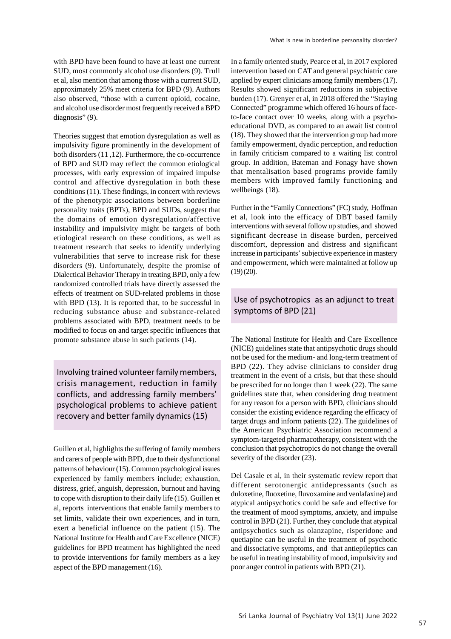with BPD have been found to have at least one current SUD, most commonly alcohol use disorders (9). Trull et al, also mention that among those with a current SUD, approximately 25% meet criteria for BPD (9). Authors also observed, "those with a current opioid, cocaine, and alcohol use disorder most frequently received a BPD diagnosis" (9).

Theories suggest that emotion dysregulation as well as impulsivity figure prominently in the development of both disorders (11 ,12). Furthermore, the co-occurrence of BPD and SUD may reflect the common etiological processes, with early expression of impaired impulse control and affective dysregulation in both these conditions (11). These findings, in concert with reviews of the phenotypic associations between borderline personality traits (BPTs), BPD and SUDs, suggest that the domains of emotion dysregulation/affective instability and impulsivity might be targets of both etiological research on these conditions, as well as treatment research that seeks to identify underlying vulnerabilities that serve to increase risk for these disorders (9). Unfortunately, despite the promise of Dialectical Behavior Therapy in treating BPD, only a few randomized controlled trials have directly assessed the effects of treatment on SUD-related problems in those with BPD (13). It is reported that, to be successful in reducing substance abuse and substance-related problems associated with BPD, treatment needs to be modified to focus on and target specific influences that promote substance abuse in such patients (14).

Involving trained volunteer family members, crisis management, reduction in family conflicts, and addressing family members' psychological problems to achieve patient recovery and better family dynamics (15)

Guillen et al, highlights the suffering of family members and carers of people with BPD, due to their dysfunctional patterns of behaviour (15). Common psychological issues experienced by family members include; exhaustion, distress, grief, anguish, depression, burnout and having to cope with disruption to their daily life (15). Guillen et al, reports interventions that enable family members to set limits, validate their own experiences, and in turn, exert a beneficial influence on the patient (15). The National Institute for Health and Care Excellence (NICE) guidelines for BPD treatment has highlighted the need to provide interventions for family members as a key aspect of the BPD management (16).

In a family oriented study, Pearce et al, in 2017 explored intervention based on CAT and general psychiatric care applied by expert clinicians among family members (17). Results showed significant reductions in subjective burden (17). Grenyer et al, in 2018 offered the "Staying Connected" programme which offered 16 hours of faceto-face contact over 10 weeks, along with a psychoeducational DVD, as compared to an await list control (18). They showed that the intervention group had more family empowerment, dyadic perception, and reduction in family criticism compared to a waiting list control group. In addition, Bateman and Fonagy have shown that mentalisation based programs provide family members with improved family functioning and wellbeings (18).

Further in the "Family Connections" (FC) study, Hoffman et al, look into the efficacy of DBT based family interventions with several follow up studies, and showed significant decrease in disease burden, perceived discomfort, depression and distress and significant increase in participants' subjective experience in mastery and empowerment, which were maintained at follow up  $(19)(20)$ .

### Use of psychotropics as an adjunct to treat symptoms of BPD (21)

The National Institute for Health and Care Excellence (NICE) guidelines state that antipsychotic drugs should not be used for the medium- and long-term treatment of BPD (22). They advise clinicians to consider drug treatment in the event of a crisis, but that these should be prescribed for no longer than 1 week (22). The same guidelines state that, when considering drug treatment for any reason for a person with BPD, clinicians should consider the existing evidence regarding the efficacy of target drugs and inform patients (22). The guidelines of the American Psychiatric Association recommend a symptom-targeted pharmacotherapy, consistent with the conclusion that psychotropics do not change the overall severity of the disorder (23).

Del Casale et al, in their systematic review report that different serotonergic antidepressants (such as duloxetine, fluoxetine, fluvoxamine and venlafaxine) and atypical antipsychotics could be safe and effective for the treatment of mood symptoms, anxiety, and impulse control in BPD (21). Further, they conclude that atypical antipsychotics such as olanzapine, risperidone and quetiapine can be useful in the treatment of psychotic and dissociative symptoms, and that antiepileptics can be useful in treating instability of mood, impulsivity and poor anger control in patients with BPD (21).